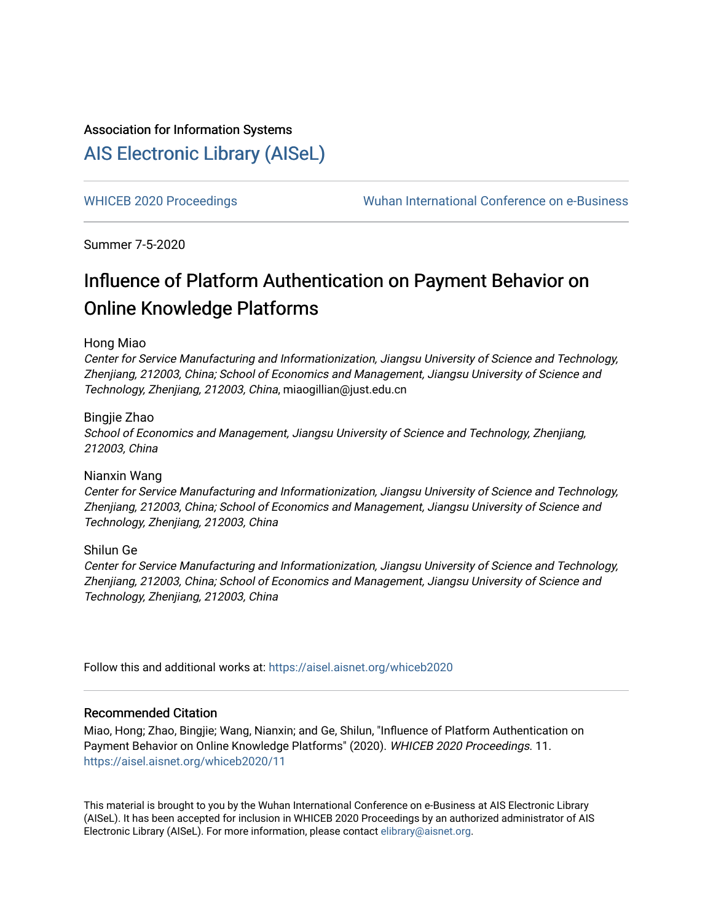## Association for Information Systems

## [AIS Electronic Library \(AISeL\)](https://aisel.aisnet.org/)

[WHICEB 2020 Proceedings](https://aisel.aisnet.org/whiceb2020) **Wuhan International Conference on e-Business** 

Summer 7-5-2020

# Influence of Platform Authentication on Payment Behavior on Online Knowledge Platforms

## Hong Miao

Center for Service Manufacturing and Informationization, Jiangsu University of Science and Technology, Zhenjiang, 212003, China; School of Economics and Management, Jiangsu University of Science and Technology, Zhenjiang, 212003, China, miaogillian@just.edu.cn

## Bingjie Zhao

School of Economics and Management, Jiangsu University of Science and Technology, Zhenjiang, 212003, China

## Nianxin Wang

Center for Service Manufacturing and Informationization, Jiangsu University of Science and Technology, Zhenjiang, 212003, China; School of Economics and Management, Jiangsu University of Science and Technology, Zhenjiang, 212003, China

## Shilun Ge

Center for Service Manufacturing and Informationization, Jiangsu University of Science and Technology, Zhenjiang, 212003, China; School of Economics and Management, Jiangsu University of Science and Technology, Zhenjiang, 212003, China

Follow this and additional works at: [https://aisel.aisnet.org/whiceb2020](https://aisel.aisnet.org/whiceb2020?utm_source=aisel.aisnet.org%2Fwhiceb2020%2F11&utm_medium=PDF&utm_campaign=PDFCoverPages)

## Recommended Citation

Miao, Hong; Zhao, Bingjie; Wang, Nianxin; and Ge, Shilun, "Influence of Platform Authentication on Payment Behavior on Online Knowledge Platforms" (2020). WHICEB 2020 Proceedings. 11. [https://aisel.aisnet.org/whiceb2020/11](https://aisel.aisnet.org/whiceb2020/11?utm_source=aisel.aisnet.org%2Fwhiceb2020%2F11&utm_medium=PDF&utm_campaign=PDFCoverPages) 

This material is brought to you by the Wuhan International Conference on e-Business at AIS Electronic Library (AISeL). It has been accepted for inclusion in WHICEB 2020 Proceedings by an authorized administrator of AIS Electronic Library (AISeL). For more information, please contact [elibrary@aisnet.org.](mailto:elibrary@aisnet.org%3E)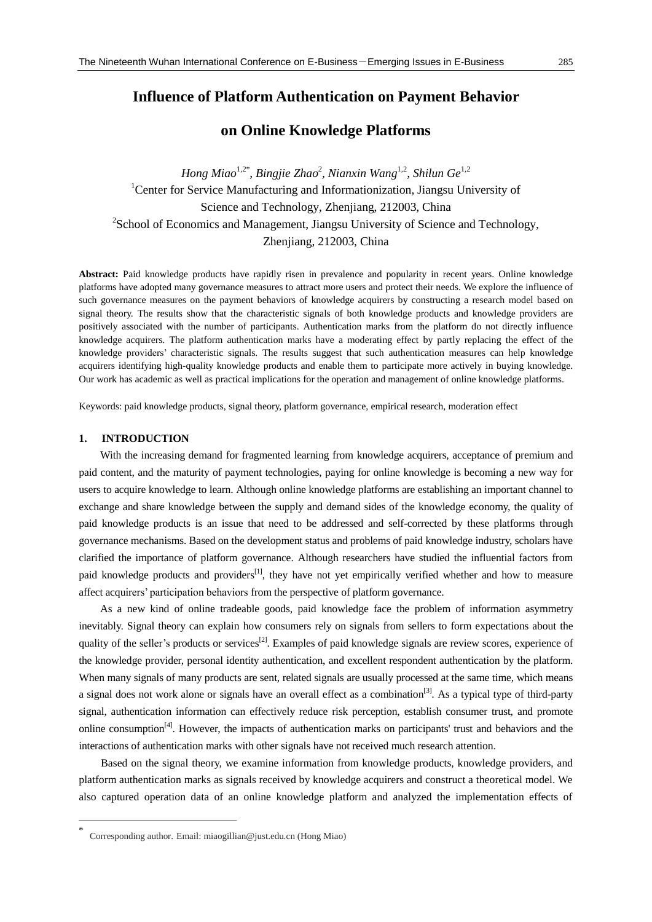## **Influence of Platform Authentication on Payment Behavior**

## **on Online Knowledge Platforms**

*Hong Miao*1,2\* *, Bingjie Zhao*<sup>2</sup> *, Nianxin Wang*1,2*, Shilun Ge*1,2 <sup>1</sup>Center for Service Manufacturing and Informationization, Jiangsu University of Science and Technology, Zhenjiang, 212003, China <sup>2</sup>School of Economics and Management, Jiangsu University of Science and Technology, Zhenjiang, 212003, China

**Abstract:** Paid knowledge products have rapidly risen in prevalence and popularity in recent years. Online knowledge platforms have adopted many governance measures to attract more users and protect their needs. We explore the influence of such governance measures on the payment behaviors of knowledge acquirers by constructing a research model based on signal theory. The results show that the characteristic signals of both knowledge products and knowledge providers are positively associated with the number of participants. Authentication marks from the platform do not directly influence knowledge acquirers. The platform authentication marks have a moderating effect by partly replacing the effect of the knowledge providers' characteristic signals. The results suggest that such authentication measures can help knowledge acquirers identifying high-quality knowledge products and enable them to participate more actively in buying knowledge. Our work has academic as well as practical implications for the operation and management of online knowledge platforms.

Keywords: paid knowledge products, signal theory, platform governance, empirical research, moderation effect

### **1. INTRODUCTION**

-

With the increasing demand for fragmented learning from knowledge acquirers, acceptance of premium and paid content, and the maturity of payment technologies, paying for online knowledge is becoming a new way for users to acquire knowledge to learn. Although online knowledge platforms are establishing an important channel to exchange and share knowledge between the supply and demand sides of the knowledge economy, the quality of paid knowledge products is an issue that need to be addressed and self-corrected by these platforms through governance mechanisms. Based on the development status and problems of paid knowledge industry, scholars have clarified the importance of platform governance. Although researchers have studied the influential factors from paid knowledge products and providers<sup>[1]</sup>, they have not yet empirically verified whether and how to measure affect acquirers' participation behaviors from the perspective of platform governance.

As a new kind of online tradeable goods, paid knowledge face the problem of information asymmetry inevitably. Signal theory can explain how consumers rely on signals from sellers to form expectations about the quality of the seller's products or services<sup>[2]</sup>. Examples of paid knowledge signals are review scores, experience of the knowledge provider, personal identity authentication, and excellent respondent authentication by the platform. When many signals of many products are sent, related signals are usually processed at the same time, which means a signal does not work alone or signals have an overall effect as a combination<sup>[3]</sup>. As a typical type of third-party signal, authentication information can effectively reduce risk perception, establish consumer trust, and promote online consumption<sup>[4]</sup>. However, the impacts of authentication marks on participants' trust and behaviors and the interactions of authentication marks with other signals have not received much research attention.

Based on the signal theory, we examine information from knowledge products, knowledge providers, and platform authentication marks as signals received by knowledge acquirers and construct a theoretical model. We also captured operation data of an online knowledge platform and analyzed the implementation effects of

<sup>\*</sup> Corresponding author. Email: miaogillian@just.edu.cn (Hong Miao)